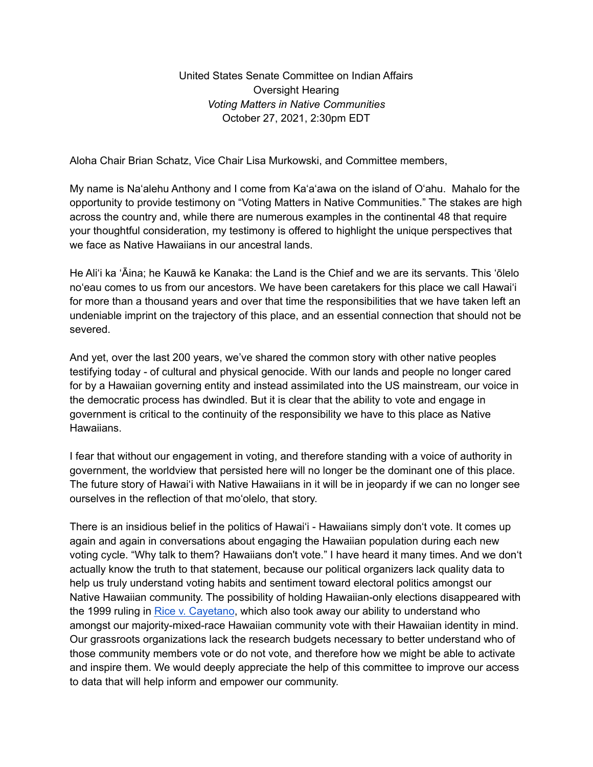United States Senate Committee on Indian Affairs Oversight Hearing *Voting Matters in Native Communities* October 27, 2021, 2:30pm EDT

Aloha Chair Brian Schatz, Vice Chair Lisa Murkowski, and Committee members,

My name is Naʻalehu Anthony and I come from Kaʻaʻawa on the island of Oʻahu. Mahalo for the opportunity to provide testimony on "Voting Matters in Native Communities." The stakes are high across the country and, while there are numerous examples in the continental 48 that require your thoughtful consideration, my testimony is offered to highlight the unique perspectives that we face as Native Hawaiians in our ancestral lands.

He Aliʻi ka ʻĀina; he Kauwā ke Kanaka: the Land is the Chief and we are its servants. This ʻōlelo noʻeau comes to us from our ancestors. We have been caretakers for this place we call Hawaiʻi for more than a thousand years and over that time the responsibilities that we have taken left an undeniable imprint on the trajectory of this place, and an essential connection that should not be severed.

And yet, over the last 200 years, we've shared the common story with other native peoples testifying today - of cultural and physical genocide. With our lands and people no longer cared for by a Hawaiian governing entity and instead assimilated into the US mainstream, our voice in the democratic process has dwindled. But it is clear that the ability to vote and engage in government is critical to the continuity of the responsibility we have to this place as Native Hawaiians.

I fear that without our engagement in voting, and therefore standing with a voice of authority in government, the worldview that persisted here will no longer be the dominant one of this place. The future story of Hawaiʻi with Native Hawaiians in it will be in jeopardy if we can no longer see ourselves in the reflection of that moʻolelo, that story.

There is an insidious belief in the politics of Hawaiʻi - Hawaiians simply donʻt vote. It comes up again and again in conversations about engaging the Hawaiian population during each new voting cycle. "Why talk to them? Hawaiians don't vote." I have heard it many times. And we donʻt actually know the truth to that statement, because our political organizers lack quality data to help us truly understand voting habits and sentiment toward electoral politics amongst our Native Hawaiian community. The possibility of holding Hawaiian-only elections disappeared with the 1999 ruling in Rice v. [Cayetano](https://www.yalelawjournal.org/comment/colonizing-history-rice-v-cayetano), which also took away our ability to understand who amongst our majority-mixed-race Hawaiian community vote with their Hawaiian identity in mind. Our grassroots organizations lack the research budgets necessary to better understand who of those community members vote or do not vote, and therefore how we might be able to activate and inspire them. We would deeply appreciate the help of this committee to improve our access to data that will help inform and empower our community.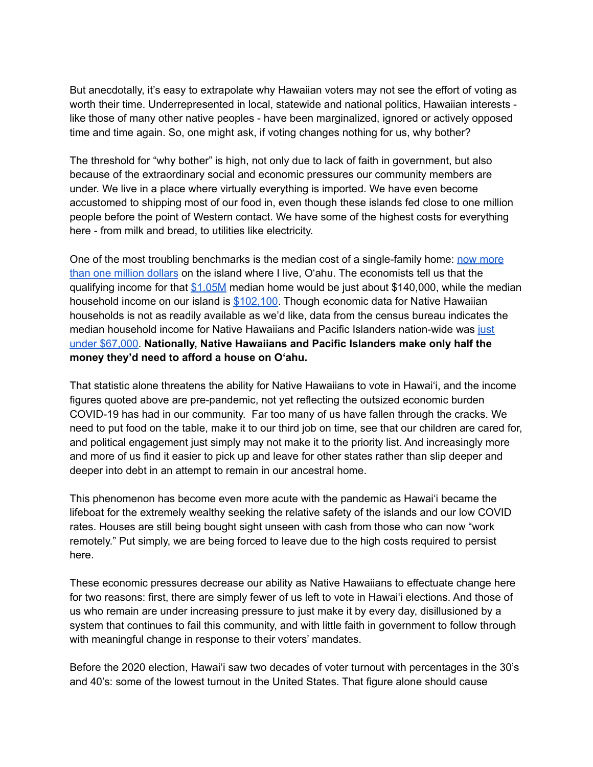But anecdotally, it's easy to extrapolate why Hawaiian voters may not see the effort of voting as worth their time. Underrepresented in local, statewide and national politics, Hawaiian interests like those of many other native peoples - have been marginalized, ignored or actively opposed time and time again. So, one might ask, if voting changes nothing for us, why bother?

The threshold for "why bother" is high, not only due to lack of faith in government, but also because of the extraordinary social and economic pressures our community members are under. We live in a place where virtually everything is imported. We have even become accustomed to shipping most of our food in, even though these islands fed close to one million people before the point of Western contact. We have some of the highest costs for everything here - from milk and bread, to utilities like electricity.

One of the most troubling benchmarks is the median cost of a single-family home: now [more](https://data.uhero.hawaii.edu/#/series?id=150548&start=2020-07-01) than one million [dollars](https://data.uhero.hawaii.edu/#/series?id=150548&start=2020-07-01) on the island where I live, Oʻahu. The economists tell us that the qualifying income for that  $$1.05M$  median home would be just about \$140,000, while the median household income on our island is [\\$102,100](https://data.uhero.hawaii.edu/#/series?sa=false&id=164739&data_list_id=43&start=2010-01-01&geo=HI&freq=A). Though economic data for Native Hawaiian households is not as readily available as we'd like, data from the census bureau indicates the median household income for Native Hawaiians and Pacific Islanders nation-wide was [just](https://minorityhealth.hhs.gov/omh/browse.aspx?lvl=3&lvlid=65) under [\\$67,000.](https://minorityhealth.hhs.gov/omh/browse.aspx?lvl=3&lvlid=65) **Nationally, Native Hawaiians and Pacific Islanders make only half the money they'd need to afford a house on Oʻahu.**

That statistic alone threatens the ability for Native Hawaiians to vote in Hawaiʻi, and the income figures quoted above are pre-pandemic, not yet reflecting the outsized economic burden COVID-19 has had in our community. Far too many of us have fallen through the cracks. We need to put food on the table, make it to our third job on time, see that our children are cared for, and political engagement just simply may not make it to the priority list. And increasingly more and more of us find it easier to pick up and leave for other states rather than slip deeper and deeper into debt in an attempt to remain in our ancestral home.

This phenomenon has become even more acute with the pandemic as Hawaiʻi became the lifeboat for the extremely wealthy seeking the relative safety of the islands and our low COVID rates. Houses are still being bought sight unseen with cash from those who can now "work remotely." Put simply, we are being forced to leave due to the high costs required to persist here.

These economic pressures decrease our ability as Native Hawaiians to effectuate change here for two reasons: first, there are simply fewer of us left to vote in Hawaiʻi elections. And those of us who remain are under increasing pressure to just make it by every day, disillusioned by a system that continues to fail this community, and with little faith in government to follow through with meaningful change in response to their voters' mandates.

Before the 2020 election, Hawaiʻi saw two decades of voter turnout with percentages in the 30's and 40's: some of the lowest turnout in the United States. That figure alone should cause